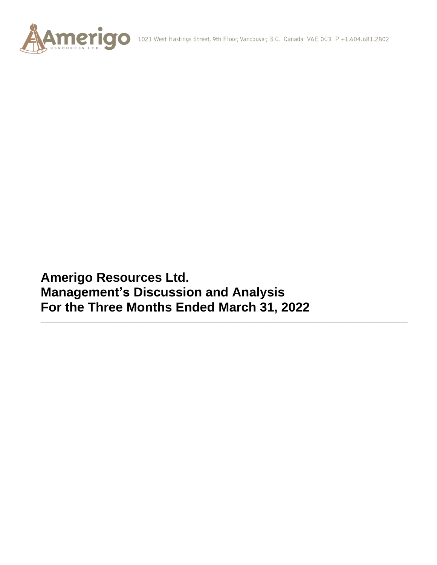

**Amerigo Resources Ltd. Management's Discussion and Analysis For the Three Months Ended March 31, 2022**

**\_\_\_\_\_\_\_\_\_\_\_\_\_\_\_\_\_\_\_\_\_\_\_\_\_\_\_\_\_\_\_\_\_\_\_\_\_\_\_\_\_\_\_\_\_\_\_\_\_\_\_\_\_\_\_\_\_\_\_\_\_\_\_\_\_\_\_\_\_\_\_\_\_\_\_\_\_\_\_\_\_\_\_\_**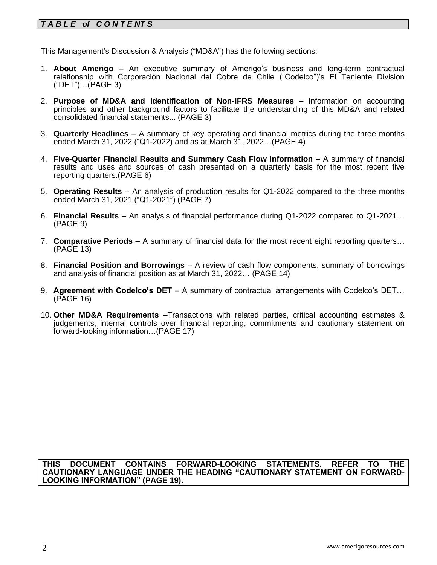# *T A B L E of C O N T E NT S*

This Management's Discussion & Analysis ("MD&A") has the following sections:

- 1. **About Amerigo**  An executive summary of Amerigo's business and long-term contractual relationship with Corporación Nacional del Cobre de Chile ("Codelco")'s El Teniente Division ("DET")…(PAGE 3)
- 2. **Purpose of MD&A and Identification of Non-IFRS Measures**  Information on accounting principles and other background factors to facilitate the understanding of this MD&A and related consolidated financial statements... (PAGE 3)
- 3. **Quarterly Headlines** A summary of key operating and financial metrics during the three months ended March 31, 2022 ("Q1-2022) and as at March 31, 2022…(PAGE 4)
- 4. **Five-Quarter Financial Results and Summary Cash Flow Information**  A summary of financial results and uses and sources of cash presented on a quarterly basis for the most recent five reporting quarters.(PAGE 6)
- 5. **Operating Results** An analysis of production results for Q1-2022 compared to the three months ended March 31, 2021 ("Q1-2021") (PAGE 7)
- 6. **Financial Results**  An analysis of financial performance during Q1-2022 compared to Q1-2021… (PAGE 9)
- 7. **Comparative Periods** A summary of financial data for the most recent eight reporting quarters… (PAGE 13)
- 8. **Financial Position and Borrowings**  A review of cash flow components, summary of borrowings and analysis of financial position as at March 31, 2022… (PAGE 14)
- 9. **Agreement with Codelco's DET** A summary of contractual arrangements with Codelco's DET… (PAGE 16)
- 10. **Other MD&A Requirements** –Transactions with related parties, critical accounting estimates & judgements, internal controls over financial reporting, commitments and cautionary statement on forward-looking information…(PAGE 17)

#### **THIS DOCUMENT CONTAINS FORWARD-LOOKING STATEMENTS. REFER TO THE CAUTIONARY LANGUAGE UNDER THE HEADING "CAUTIONARY STATEMENT ON FORWARD-LOOKING INFORMATION" (PAGE 19).**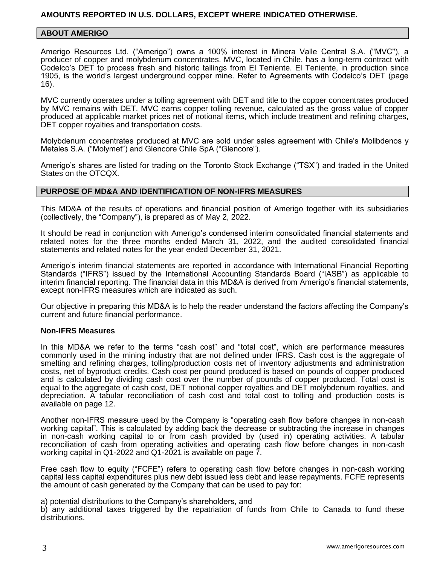### **ABOUT AMERIGO**

Amerigo Resources Ltd. ("Amerigo") owns a 100% interest in Minera Valle Central S.A. ("MVC"), a producer of copper and molybdenum concentrates. MVC, located in Chile, has a long-term contract with Codelco's DET to process fresh and historic tailings from El Teniente. El Teniente, in production since 1905, is the world's largest underground copper mine. Refer to Agreements with Codelco's DET (page 16).

MVC currently operates under a tolling agreement with DET and title to the copper concentrates produced by MVC remains with DET. MVC earns copper tolling revenue, calculated as the gross value of copper produced at applicable market prices net of notional items, which include treatment and refining charges, DET copper royalties and transportation costs.

Molybdenum concentrates produced at MVC are sold under sales agreement with Chile's Molibdenos y Metales S.A. ("Molymet") and Glencore Chile SpA ("Glencore").

Amerigo's shares are listed for trading on the Toronto Stock Exchange ("TSX") and traded in the United States on the OTCQX.

#### **PURPOSE OF MD&A AND IDENTIFICATION OF NON-IFRS MEASURES**

This MD&A of the results of operations and financial position of Amerigo together with its subsidiaries (collectively, the "Company"), is prepared as of May 2, 2022.

It should be read in conjunction with Amerigo's condensed interim consolidated financial statements and related notes for the three months ended March 31, 2022, and the audited consolidated financial statements and related notes for the year ended December 31, 2021.

Amerigo's interim financial statements are reported in accordance with International Financial Reporting Standards ("IFRS") issued by the International Accounting Standards Board ("IASB") as applicable to interim financial reporting. The financial data in this MD&A is derived from Amerigo's financial statements, except non-IFRS measures which are indicated as such.

Our objective in preparing this MD&A is to help the reader understand the factors affecting the Company's current and future financial performance.

#### **Non-IFRS Measures**

In this MD&A we refer to the terms "cash cost" and "total cost", which are performance measures commonly used in the mining industry that are not defined under IFRS. Cash cost is the aggregate of smelting and refining charges, tolling/production costs net of inventory adjustments and administration costs, net of byproduct credits. Cash cost per pound produced is based on pounds of copper produced and is calculated by dividing cash cost over the number of pounds of copper produced. Total cost is equal to the aggregate of cash cost, DET notional copper royalties and DET molybdenum royalties, and depreciation. A tabular reconciliation of cash cost and total cost to tolling and production costs is available on page 12.

Another non-IFRS measure used by the Company is "operating cash flow before changes in non-cash working capital". This is calculated by adding back the decrease or subtracting the increase in changes in non-cash working capital to or from cash provided by (used in) operating activities. A tabular reconciliation of cash from operating activities and operating cash flow before changes in non-cash working capital in Q1-2022 and Q1-2021 is available on page 7.

Free cash flow to equity ("FCFE") refers to operating cash flow before changes in non-cash working capital less capital expenditures plus new debt issued less debt and lease repayments. FCFE represents the amount of cash generated by the Company that can be used to pay for:

a) potential distributions to the Company's shareholders, and

b) any additional taxes triggered by the repatriation of funds from Chile to Canada to fund these distributions.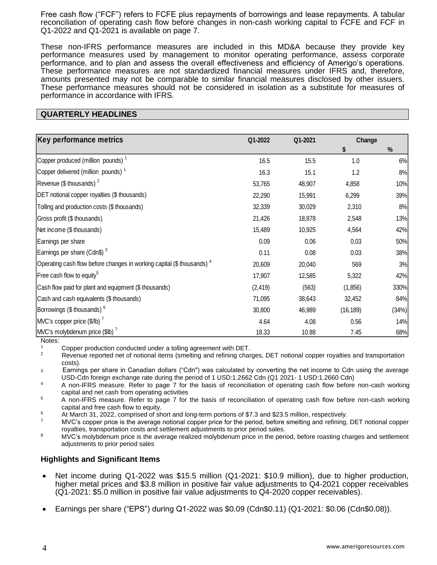Free cash flow ("FCF") refers to FCFE plus repayments of borrowings and lease repayments. A tabular reconciliation of operating cash flow before changes in non-cash working capital to FCFE and FCF in Q1-2022 and Q1-2021 is available on page 7.

These non-IFRS performance measures are included in this MD&A because they provide key performance measures used by management to monitor operating performance, assess corporate performance, and to plan and assess the overall effectiveness and efficiency of Amerigo's operations. These performance measures are not standardized financial measures under IFRS and, therefore, amounts presented may not be comparable to similar financial measures disclosed by other issuers. These performance measures should not be considered in isolation as a substitute for measures of performance in accordance with IFRS.

### **QUARTERLY HEADLINES**

| <b>Key performance metrics</b>                                                    | Q1-2022  | Q1-2021 | Change    |       |
|-----------------------------------------------------------------------------------|----------|---------|-----------|-------|
|                                                                                   |          |         | S         | $\%$  |
| Copper produced (million pounds) <sup>1</sup>                                     | 16.5     | 15.5    | 1.0       | 6%    |
| Copper delivered (million pounds) <sup>1</sup>                                    | 16.3     | 15.1    | 1.2       | 8%    |
| Revenue (\$ thousands) $^2$                                                       | 53,765   | 48,907  | 4,858     | 10%   |
| DET notional copper royalties (\$ thousands)                                      | 22,290   | 15,991  | 6,299     | 39%   |
| Tolling and production costs (\$ thousands)                                       | 32,339   | 30,029  | 2,310     | 8%    |
| Gross profit (\$ thousands)                                                       | 21,426   | 18,878  | 2,548     | 13%   |
| Net income (\$ thousands)                                                         | 15,489   | 10,925  | 4,564     | 42%   |
| Earnings per share                                                                | 0.09     | 0.06    | 0.03      | 50%   |
| Earnings per share (Cdn\$) <sup>3</sup>                                           | 0.11     | 0.08    | 0.03      | 38%   |
| Operating cash flow before changes in working capital (\$ thousands) <sup>4</sup> | 20,609   | 20,040  | 569       | 3%    |
| Free cash flow to equity <sup>5</sup>                                             | 17,907   | 12,585  | 5,322     | 42%   |
| Cash flow paid for plant and equipment (\$ thousands)                             | (2, 419) | (563)   | (1,856)   | 330%  |
| Cash and cash equivalents (\$ thousands)                                          | 71,095   | 38,643  | 32,452    | 84%   |
| Borrowings (\$ thousands) <sup>6</sup>                                            | 30,800   | 46,989  | (16, 189) | (34%) |
| MVC's copper price $(\frac{6}{10})^7$                                             | 4.64     | 4.08    | 0.56      | 14%   |
| MVC's molybdenum price (\$lb) <sup>7</sup>                                        | 18.33    | 10.88   | 7.45      | 68%   |

Notes:

 $\frac{1}{2}$  Copper production conducted under a tolling agreement with DET.<br>Revenue reported net of potional items (smelting and refining charge

<sup>2</sup>Revenue reported net of notional items (smelting and refining charges, DET notional copper royalties and transportation costs).

<sup>3</sup> Earnings per share in Canadian dollars ("Cdn") was calculated by converting the net income to Cdn using the average USD-Cdn foreign exchange rate during the period of 1 USD:1.2662 Cdn (Q1 2021- 1 USD:1.2660 Cdn)

<sup>4</sup> A non-IFRS measure. Refer to page 7 for the basis of reconciliation of operating cash flow before non-cash working capital and net cash from operating activities

<sup>5</sup> A non-IFRS measure. Refer to page 7 for the basis of reconciliation of operating cash flow before non-cash working capital and free cash flow to equity.

<sup>6</sup> At March 31, 2022, comprised of short and long-term portions of \$7.3 and \$23.5 million, respectively.

<sup>7</sup> MVC's copper price is the average notional copper price for the period, before smelting and refining, DET notional copper royalties, transportation costs and settlement adjustments to prior period sales.

<sup>8</sup> MVC's molybdenum price is the average realized molybdenum price in the period, before roasting charges and settlement adjustments to prior period sales

#### **Highlights and Significant Items**

- Net income during Q1-2022 was \$15.5 million (Q1-2021: \$10.9 million), due to higher production, higher metal prices and \$3.8 million in positive fair value adjustments to Q4-2021 copper receivables (Q1-2021: \$5.0 million in positive fair value adjustments to Q4-2020 copper receivables).
- Earnings per share ("EPS") during Q1-2022 was \$0.09 (Cdn\$0.11) (Q1-2021: \$0.06 (Cdn\$0.08)).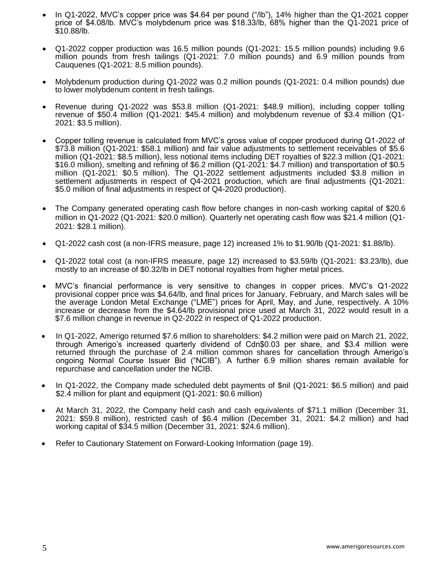- In Q1-2022, MVC's copper price was \$4.64 per pound ("/lb"), 14% higher than the Q1-2021 copper price of \$4.08/lb. MVC's molybdenum price was \$18.33/lb, 68% higher than the Q1-2021 price of \$10.88/lb.
- Q1-2022 copper production was 16.5 million pounds (Q1-2021: 15.5 million pounds) including 9.6 million pounds from fresh tailings (Q1-2021: 7.0 million pounds) and 6.9 million pounds from Cauquenes (Q1-2021: 8.5 million pounds).
- Molybdenum production during Q1-2022 was 0.2 million pounds (Q1-2021: 0.4 million pounds) due to lower molybdenum content in fresh tailings.
- Revenue during Q1-2022 was \$53.8 million (Q1-2021: \$48.9 million), including copper tolling revenue of \$50.4 million (Q1-2021: \$45.4 million) and molybdenum revenue of \$3.4 million (Q1- 2021: \$3.5 million).
- Copper tolling revenue is calculated from MVC's gross value of copper produced during Q1-2022 of \$73.8 million (Q1-2021: \$58.1 million) and fair value adjustments to settlement receivables of \$5.6 million (Q1-2021: \$8.5 million), less notional items including DET royalties of \$22.3 million (Q1-2021: \$16.0 million), smelting and refining of \$6.2 million (Q1-2021: \$4.7 million) and transportation of \$0.5 million (Q1-2021: \$0.5 million). The Q1-2022 settlement adjustments included \$3.8 million in settlement adjustments in respect of Q4-2021 production, which are final adjustments (Q1-2021: \$5.0 million of final adjustments in respect of Q4-2020 production).
- The Company generated operating cash flow before changes in non-cash working capital of \$20.6 million in Q1-2022 (Q1-2021: \$20.0 million). Quarterly net operating cash flow was \$21.4 million (Q1- 2021: \$28.1 million).
- Q1-2022 cash cost (a non-IFRS measure, page 12) increased 1% to \$1.90/lb (Q1-2021: \$1.88/lb).
- Q1-2022 total cost (a non-IFRS measure, page 12) increased to \$3.59/lb (Q1-2021: \$3.23/lb), due mostly to an increase of \$0.32/lb in DET notional royalties from higher metal prices.
- MVC's financial performance is very sensitive to changes in copper prices. MVC's Q1-2022 provisional copper price was \$4.64/lb, and final prices for January, February, and March sales will be the average London Metal Exchange ("LME") prices for April, May, and June, respectively. A 10% increase or decrease from the \$4.64/lb provisional price used at March 31, 2022 would result in a \$7.6 million change in revenue in Q2-2022 in respect of Q1-2022 production.
- In Q1-2022, Amerigo returned \$7.6 million to shareholders: \$4.2 million were paid on March 21, 2022, through Amerigo's increased quarterly dividend of Cdn\$0.03 per share, and \$3.4 million were returned through the purchase of 2.4 million common shares for cancellation through Amerigo's ongoing Normal Course Issuer Bid ("NCIB"). A further 6.9 million shares remain available for repurchase and cancellation under the NCIB.
- In Q1-2022, the Company made scheduled debt payments of \$nil (Q1-2021: \$6.5 million) and paid \$2.4 million for plant and equipment (Q1-2021: \$0.6 million)
- At March 31, 2022, the Company held cash and cash equivalents of \$71.1 million (December 31, 2021: \$59.8 million), restricted cash of \$6.4 million (December 31, 2021: \$4.2 million) and had working capital of \$34.5 million (December 31, 2021: \$24.6 million).
- Refer to Cautionary Statement on Forward-Looking Information (page 19).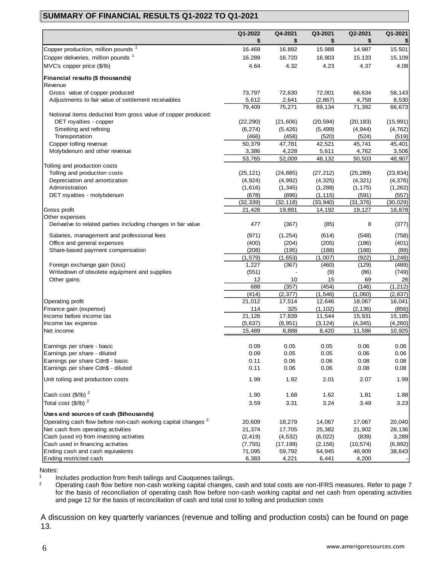# **SUMMARY OF FINANCIAL RESULTS Q1-2022 TO Q1-2021**

|                                                                          | Q1-2022               | Q4-2021              | Q3-2021               | Q2-2021               | Q1-2021              |
|--------------------------------------------------------------------------|-----------------------|----------------------|-----------------------|-----------------------|----------------------|
|                                                                          | \$                    | \$                   | \$                    | \$                    | \$                   |
| Copper production, million pounds 1                                      | 16.469                | 16.892               | 15.988                | 14.987                | 15.501               |
| Copper deliveries, million pounds <sup>1</sup>                           | 16.289                | 16.720               | 16.903                | 15.133                | 15.109               |
| MVC's copper price (\$/lb)                                               | 4.64                  | 4.32                 | 4.23                  | 4.37                  | 4.08                 |
| Financial results (\$ thousands)                                         |                       |                      |                       |                       |                      |
| Revenue                                                                  |                       |                      |                       |                       |                      |
| Gross value of copper produced                                           | 73,797                | 72,630               | 72,001                | 66,634                | 58,143               |
| Adjustments to fair value of settlement receivables                      | 5,612                 | 2,641                | (2,867)               | 4,758                 | 8,530                |
|                                                                          | 79,409                | 75,271               | 69,134                | 71,392                | 66,673               |
| Notional items deducted from gross value of copper produced:             |                       |                      |                       |                       |                      |
| DET royalties - copper<br>Smelting and refining                          | (22, 290)<br>(6, 274) | (21,606)<br>(5, 426) | (20, 594)<br>(5, 499) | (20, 183)<br>(4, 944) | (15,991)<br>(4, 762) |
| Transportation                                                           | (466)                 | (458)                | (520)                 | (524)                 | (519)                |
| Copper tolling revenue                                                   | 50,379                | 47,781               | 42,521                | 45,741                | 45,401               |
| Molybdenum and other revenue                                             | 3,386                 | 4,228                | 5,611                 | 4,762                 | 3,506                |
|                                                                          | 53,765                | 52,009               | 48,132                | 50,503                | 48,907               |
| Tolling and production costs                                             |                       |                      |                       |                       |                      |
| Tolling and production costs                                             | (25, 121)             | (24, 885)            | (27, 212)             | (25, 289)             | (23, 834)            |
| Depreciation and amortization                                            | (4, 924)              | (4,992)              | (4, 325)              | (4, 321)              | (4,376)              |
| Administration                                                           | (1,616)               | (1, 345)             | (1,288)               | (1, 175)              | (1,262)              |
| DET royalties - molybdenum                                               | (678)                 | (896)                | (1, 115)              | (591)                 | (557)                |
|                                                                          | (32, 339)             | (32, 118)            | (33, 940)             | (31, 376)             | (30, 029)            |
| Gross profit                                                             | 21,426                | 19,891               | 14,192                | 19,127                | 18,878               |
| Other expenses                                                           |                       |                      |                       |                       |                      |
| Derivative to related parties including changes in fair value            | 477                   | (367)                | (85)                  | 8                     | (377)                |
| Salaries, management and professional fees                               | (971)                 | (1, 254)             | (614)                 | (548)                 | (758)                |
| Office and general expenses                                              | (400)                 | (204)                | (205)                 | (186)                 | (401)                |
| Share-based payment compensation                                         | (208)                 | (195)                | (188)                 | (188)                 | (89)                 |
|                                                                          | (1, 579)              | (1,653)              | (1,007)               | (922)                 | (1,248)              |
| Foreign exchange gain (loss)                                             | 1,227                 | (367)                | (460)                 | (129)                 | (489)                |
| Writedown of obsolete equipment and supplies                             | (551)                 |                      | (9)                   | (86)                  | (749)                |
| Other gains                                                              | 12                    | 10                   | 15                    | 69                    | 26                   |
|                                                                          | 688                   | (357)                | (454)                 | (146)                 | (1, 212)             |
|                                                                          | (414)                 | (2, 377)             | (1, 546)              | (1,060)               | (2, 837)             |
| Operating profit                                                         | 21,012                | 17,514               | 12,646                | 18,067                | 16,041               |
| Finance gain (expense)                                                   | 114                   | 325                  | (1, 102)              | (2, 136)              | (856)                |
| Income before income tax                                                 | 21,126                | 17,839               | 11,544                | 15,931                | 15,185               |
| Income tax expense                                                       | (5,637)               | (8,951)              | (3, 124)              | (4, 345)              | (4,260)              |
| Net income                                                               | 15,489                | 8,888                | 8,420                 | 11,586                | 10,925               |
|                                                                          |                       |                      |                       |                       | 0.06                 |
| Earnings per share - basic<br>Earnings per share - diluted               | 0.09<br>0.09          | 0.05<br>0.05         | 0.05<br>0.05          | 0.06<br>0.06          | 0.06                 |
| Earnings per share Cdn\$ - basic                                         | 0.11                  | 0.06                 | 0.06                  | 0.08                  | 0.08                 |
| Earnings per share Cdn\$ - diluted                                       | 0.11                  | 0.06                 | 0.06                  | 0.08                  | 0.08                 |
|                                                                          |                       |                      |                       |                       |                      |
| Unit tolling and production costs                                        | 1.99                  | 1.92                 | 2.01                  | 2.07                  | 1.99                 |
| Cash cost (\$/lb) <sup>2</sup>                                           | 1.90                  | 1.68                 | 1.62                  | 1.81                  | 1.88                 |
| Total cost $(\frac{5}{lb})^2$                                            | 3.59                  | 3.31                 | 3.24                  | 3.49                  | 3.23                 |
| Uses and sources of cash (\$thousands)                                   |                       |                      |                       |                       |                      |
| Operating cash flow before non-cash working capital changes <sup>2</sup> | 20,609                | 18,279               | 14,067                | 17,067                | 20,040               |
| Net cash from operating activities                                       | 21,374                | 17,705               | 25,382                | 21,902                | 28,136               |
| Cash (used in) from investing activities                                 | (2, 419)              | (4, 532)             | (6,022)               | (839)                 | 3,289                |
| Cash used in financing activities                                        | (7, 755)              | (17, 199)            | (2, 156)              | (10, 574)             | (6, 892)             |
| Ending cash and cash equivalents                                         | 71,095                | 59,792               | 64,945                | 48,909                | 38,643               |
| Ending restricted cash                                                   | 6,383                 | 4,221                | 6,441                 | 4,200                 |                      |

Notes:

1 Includes production from fresh tailings and Cauquenes tailings.

<sup>2</sup> Operating cash flow before non-cash working capital changes, cash and total costs are non-IFRS measures. Refer to page 7 for the basis of reconciliation of operating cash flow before non-cash working capital and net cash from operating activities and page 12 for the basis of reconciliation of cash and total cost to tolling and production costs

A discussion on key quarterly variances (revenue and tolling and production costs) can be found on page 13.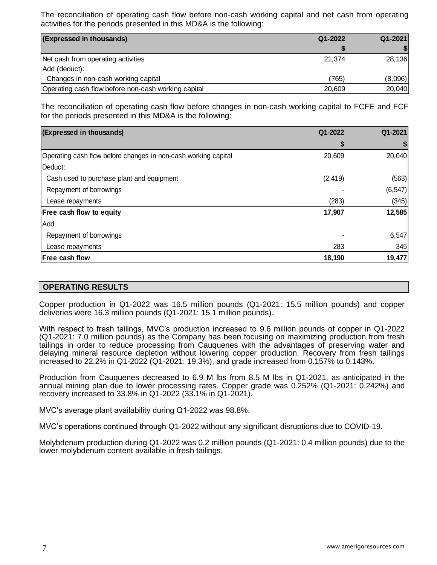The reconciliation of operating cash flow before non-cash working capital and net cash from operating activities for the periods presented in this MD&A is the following:

| (Expressed in thousands)                            | Q1-2022 | $Q1 - 2021$ |
|-----------------------------------------------------|---------|-------------|
|                                                     |         |             |
| Net cash from operating activities                  | 21.374  | 28,136      |
| Add (deduct):                                       |         |             |
| Changes in non-cash working capital                 | (765)   | (8,096)     |
| Operating cash flow before non-cash working capital | 20,609  | 20,040      |

The reconciliation of operating cash flow before changes in non-cash working capital to FCFE and FCF for the periods presented in this MD&A is the following:

| (Expressed in thousands)                                       | Q1-2022  | Q1-2021  |
|----------------------------------------------------------------|----------|----------|
|                                                                | S        |          |
| Operating cash flow before changes in non-cash working capital | 20,609   | 20,040   |
| Deduct:                                                        |          |          |
| Cash used to purchase plant and equipment                      | (2, 419) | (563)    |
| Repayment of borrowings                                        |          | (6, 547) |
| Lease repayments                                               | (283)    | (345)    |
| Free cash flow to equity                                       | 17,907   | 12,585   |
| Add:                                                           |          |          |
| Repayment of borrowings                                        |          | 6,547    |
| Lease repayments                                               | 283      | 345      |
| Free cash flow                                                 | 18,190   | 19,477   |

#### **OPERATING RESULTS**

Copper production in Q1-2022 was 16.5 million pounds (Q1-2021: 15.5 million pounds) and copper deliveries were 16.3 million pounds (Q1-2021: 15.1 million pounds).

With respect to fresh tailings, MVC's production increased to 9.6 million pounds of copper in Q1-2022 (Q1-2021: 7.0 million pounds) as the Company has been focusing on maximizing production from fresh tailings in order to reduce processing from Cauquenes with the advantages of preserving water and delaying mineral resource depletion without lowering copper production. Recovery from fresh tailings increased to 22.2% in Q1-2022 (Q1-2021: 19.3%), and grade increased from 0.157% to 0.143%.

Production from Cauquenes decreased to 6.9 M lbs from 8.5 M lbs in Q1-2021, as anticipated in the annual mining plan due to lower processing rates. Copper grade was 0.252% (Q1-2021: 0.242%) and recovery increased to 33.8% in Q1-2022 (33.1% in Q1-2021).

MVC's average plant availability during Q1-2022 was 98.8%.

MVC's operations continued through Q1-2022 without any significant disruptions due to COVID-19.

Molybdenum production during Q1-2022 was 0.2 million pounds (Q1-2021: 0.4 million pounds) due to the lower molybdenum content available in fresh tailings.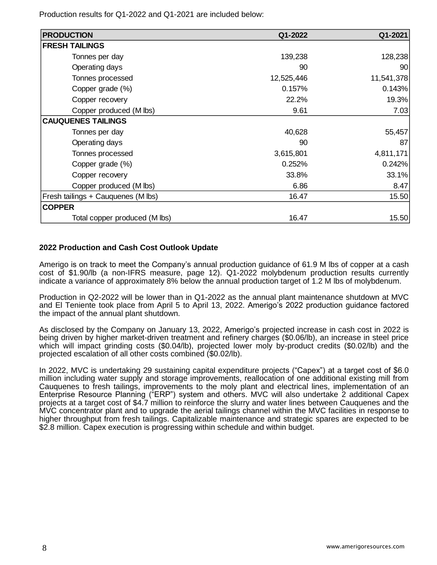Production results for Q1-2022 and Q1-2021 are included below:

| <b>PRODUCTION</b>                  | Q1-2022    | Q1-2021    |
|------------------------------------|------------|------------|
| <b>FRESH TAILINGS</b>              |            |            |
| Tonnes per day                     | 139,238    | 128,238    |
| Operating days                     | 90         | 90         |
| Tonnes processed                   | 12,525,446 | 11,541,378 |
| Copper grade (%)                   | 0.157%     | 0.143%     |
| Copper recovery                    | 22.2%      | 19.3%      |
| Copper produced (M lbs)            | 9.61       | 7.03       |
| <b>CAUQUENES TAILINGS</b>          |            |            |
| Tonnes per day                     | 40,628     | 55,457     |
| Operating days                     | 90         | 87         |
| Tonnes processed                   | 3,615,801  | 4,811,171  |
| Copper grade (%)                   | 0.252%     | 0.242%     |
| Copper recovery                    | 33.8%      | 33.1%      |
| Copper produced (M lbs)            | 6.86       | 8.47       |
| Fresh tailings + Cauquenes (M lbs) | 16.47      | 15.50      |
| <b>COPPER</b>                      |            |            |
| Total copper produced (M lbs)      | 16.47      | 15.50      |

# **2022 Production and Cash Cost Outlook Update**

Amerigo is on track to meet the Company's annual production guidance of 61.9 M lbs of copper at a cash cost of \$1.90/lb (a non-IFRS measure, page 12). Q1-2022 molybdenum production results currently indicate a variance of approximately 8% below the annual production target of 1.2 M lbs of molybdenum.

Production in Q2-2022 will be lower than in Q1-2022 as the annual plant maintenance shutdown at MVC and El Teniente took place from April 5 to April 13, 2022. Amerigo's 2022 production guidance factored the impact of the annual plant shutdown.

As disclosed by the Company on January 13, 2022, Amerigo's projected increase in cash cost in 2022 is being driven by higher market-driven treatment and refinery charges (\$0.06/lb), an increase in steel price which will impact grinding costs (\$0.04/lb), projected lower moly by-product credits (\$0.02/lb) and the projected escalation of all other costs combined (\$0.02/lb).

In 2022, MVC is undertaking 29 sustaining capital expenditure projects ("Capex") at a target cost of \$6.0 million including water supply and storage improvements, reallocation of one additional existing mill from Cauquenes to fresh tailings, improvements to the moly plant and electrical lines, implementation of an Enterprise Resource Planning ("ERP") system and others. MVC will also undertake 2 additional Capex projects at a target cost of \$4.7 million to reinforce the slurry and water lines between Cauquenes and the MVC concentrator plant and to upgrade the aerial tailings channel within the MVC facilities in response to higher throughput from fresh tailings. Capitalizable maintenance and strategic spares are expected to be \$2.8 million. Capex execution is progressing within schedule and within budget.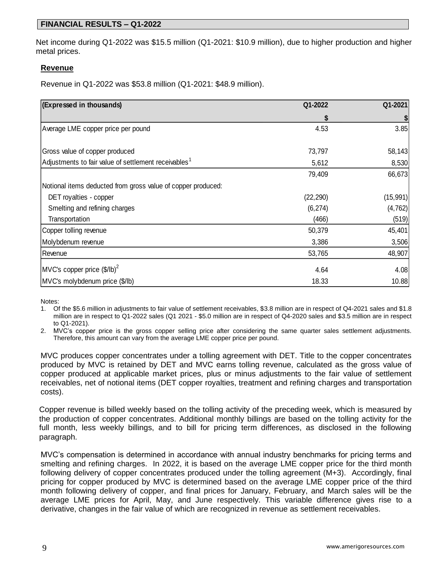# **FINANCIAL RESULTS – Q1-2022**

Net income during Q1-2022 was \$15.5 million (Q1-2021: \$10.9 million), due to higher production and higher metal prices.

# **Revenue**

Revenue in Q1-2022 was \$53.8 million (Q1-2021: \$48.9 million).

| (Expressed in thousands)                                         | Q1-2022   | Q1-2021   |
|------------------------------------------------------------------|-----------|-----------|
|                                                                  |           |           |
| Average LME copper price per pound                               | 4.53      | 3.85      |
| Gross value of copper produced                                   | 73,797    | 58,143    |
| Adjustments to fair value of settlement receivables <sup>1</sup> | 5,612     | 8,530     |
|                                                                  | 79,409    | 66,673    |
| Notional items deducted from gross value of copper produced:     |           |           |
| DET royalties - copper                                           | (22, 290) | (15, 991) |
| Smelting and refining charges                                    | (6, 274)  | (4, 762)  |
| Transportation                                                   | (466)     | (519)     |
| Copper tolling revenue                                           | 50,379    | 45,401    |
| Molybdenum revenue                                               | 3,386     | 3,506     |
| Revenue                                                          | 53,765    | 48,907    |
| MVC's copper price (\$/lb) <sup>2</sup>                          | 4.64      | 4.08      |
| MVC's molybdenum price (\$/lb)                                   | 18.33     | 10.88     |

Notes:

1. Of the \$5.6 million in adjustments to fair value of settlement receivables, \$3.8 million are in respect of Q4-2021 sales and \$1.8 million are in respect to Q1-2022 sales (Q1 2021 - \$5.0 million are in respect of Q4-2020 sales and \$3.5 million are in respect to Q1-2021).

2. MVC's copper price is the gross copper selling price after considering the same quarter sales settlement adjustments. Therefore, this amount can vary from the average LME copper price per pound.

MVC produces copper concentrates under a tolling agreement with DET. Title to the copper concentrates produced by MVC is retained by DET and MVC earns tolling revenue, calculated as the gross value of copper produced at applicable market prices, plus or minus adjustments to the fair value of settlement receivables, net of notional items (DET copper royalties, treatment and refining charges and transportation costs).

Copper revenue is billed weekly based on the tolling activity of the preceding week, which is measured by the production of copper concentrates. Additional monthly billings are based on the tolling activity for the full month, less weekly billings, and to bill for pricing term differences, as disclosed in the following paragraph.

MVC's compensation is determined in accordance with annual industry benchmarks for pricing terms and smelting and refining charges. In 2022, it is based on the average LME copper price for the third month following delivery of copper concentrates produced under the tolling agreement (M+3). Accordingly, final pricing for copper produced by MVC is determined based on the average LME copper price of the third month following delivery of copper, and final prices for January, February, and March sales will be the average LME prices for April, May, and June respectively. This variable difference gives rise to a derivative, changes in the fair value of which are recognized in revenue as settlement receivables.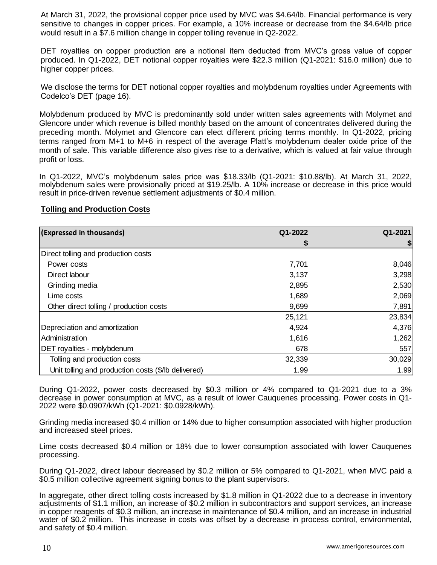At March 31, 2022, the provisional copper price used by MVC was \$4.64/lb. Financial performance is very sensitive to changes in copper prices. For example, a 10% increase or decrease from the \$4.64/lb price would result in a \$7.6 million change in copper tolling revenue in Q2-2022.

DET royalties on copper production are a notional item deducted from MVC's gross value of copper produced. In Q1-2022, DET notional copper royalties were \$22.3 million (Q1-2021: \$16.0 million) due to higher copper prices.

We disclose the terms for DET notional copper royalties and molybdenum royalties under Agreements with Codelco's DET (page 16).

Molybdenum produced by MVC is predominantly sold under written sales agreements with Molymet and Glencore under which revenue is billed monthly based on the amount of concentrates delivered during the preceding month. Molymet and Glencore can elect different pricing terms monthly. In Q1-2022, pricing terms ranged from M+1 to M+6 in respect of the average Platt's molybdenum dealer oxide price of the month of sale. This variable difference also gives rise to a derivative, which is valued at fair value through profit or loss.

In Q1-2022, MVC's molybdenum sales price was \$18.33/lb (Q1-2021: \$10.88/lb). At March 31, 2022, molybdenum sales were provisionally priced at \$19.25/lb. A 10% increase or decrease in this price would result in price-driven revenue settlement adjustments of \$0.4 million.

### **Tolling and Production Costs**

| (Expressed in thousands)                            | Q1-2022 | Q1-2021 |
|-----------------------------------------------------|---------|---------|
|                                                     |         |         |
| Direct tolling and production costs                 |         |         |
| Power costs                                         | 7,701   | 8,046   |
| Direct labour                                       | 3,137   | 3,298   |
| Grinding media                                      | 2,895   | 2,530   |
| Lime costs                                          | 1,689   | 2,069   |
| Other direct tolling / production costs             | 9,699   | 7,891   |
|                                                     | 25,121  | 23,834  |
| Depreciation and amortization                       | 4,924   | 4,376   |
| Administration                                      | 1,616   | 1,262   |
| DET royalties - molybdenum                          | 678     | 557     |
| Tolling and production costs                        | 32,339  | 30,029  |
| Unit tolling and production costs (\$/lb delivered) | 1.99    | 1.99    |

During Q1-2022, power costs decreased by \$0.3 million or 4% compared to Q1-2021 due to a 3% decrease in power consumption at MVC, as a result of lower Cauquenes processing. Power costs in Q1- 2022 were \$0.0907/kWh (Q1-2021: \$0.0928/kWh).

Grinding media increased \$0.4 million or 14% due to higher consumption associated with higher production and increased steel prices.

Lime costs decreased \$0.4 million or 18% due to lower consumption associated with lower Cauquenes processing.

During Q1-2022, direct labour decreased by \$0.2 million or 5% compared to Q1-2021, when MVC paid a \$0.5 million collective agreement signing bonus to the plant supervisors.

In aggregate, other direct tolling costs increased by \$1.8 million in Q1-2022 due to a decrease in inventory adjustments of \$1.1 million, an increase of \$0.2 million in subcontractors and support services, an increase in copper reagents of \$0.3 million, an increase in maintenance of \$0.4 million, and an increase in industrial water of \$0.2 million. This increase in costs was offset by a decrease in process control, environmental, and safety of \$0.4 million.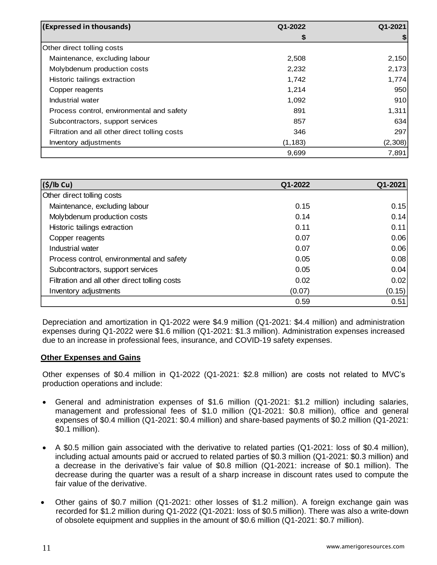| (Expressed in thousands)                      | Q1-2022  | Q1-2021 |
|-----------------------------------------------|----------|---------|
|                                               | S        |         |
| Other direct tolling costs                    |          |         |
| Maintenance, excluding labour                 | 2,508    | 2,150   |
| Molybdenum production costs                   | 2,232    | 2,173   |
| Historic tailings extraction                  | 1,742    | 1,774   |
| Copper reagents                               | 1,214    | 950     |
| Industrial water                              | 1,092    | 910     |
| Process control, environmental and safety     | 891      | 1,311   |
| Subcontractors, support services              | 857      | 634     |
| Filtration and all other direct tolling costs | 346      | 297     |
| Inventory adjustments                         | (1, 183) | (2,308) |
|                                               | 9,699    | 7,891   |

| (S/lb Cu)                                     | Q1-2022 | Q1-2021 |
|-----------------------------------------------|---------|---------|
| Other direct tolling costs                    |         |         |
| Maintenance, excluding labour                 | 0.15    | 0.15    |
| Molybdenum production costs                   | 0.14    | 0.14    |
| Historic tailings extraction                  | 0.11    | 0.11    |
| Copper reagents                               | 0.07    | 0.06    |
| Industrial water                              | 0.07    | 0.06    |
| Process control, environmental and safety     | 0.05    | 0.08    |
| Subcontractors, support services              | 0.05    | 0.04    |
| Filtration and all other direct tolling costs | 0.02    | 0.02    |
| Inventory adjustments                         | (0.07)  | (0.15)  |
|                                               | 0.59    | 0.51    |

Depreciation and amortization in Q1-2022 were \$4.9 million (Q1-2021: \$4.4 million) and administration expenses during Q1-2022 were \$1.6 million (Q1-2021: \$1.3 million). Administration expenses increased due to an increase in professional fees, insurance, and COVID-19 safety expenses.

# **Other Expenses and Gains**

Other expenses of \$0.4 million in Q1-2022 (Q1-2021: \$2.8 million) are costs not related to MVC's production operations and include:

- General and administration expenses of \$1.6 million (Q1-2021: \$1.2 million) including salaries, management and professional fees of \$1.0 million (Q1-2021: \$0.8 million), office and general expenses of \$0.4 million (Q1-2021: \$0.4 million) and share-based payments of \$0.2 million (Q1-2021: \$0.1 million).
- A \$0.5 million gain associated with the derivative to related parties (Q1-2021: loss of \$0.4 million), including actual amounts paid or accrued to related parties of \$0.3 million (Q1-2021: \$0.3 million) and a decrease in the derivative's fair value of \$0.8 million (Q1-2021: increase of \$0.1 million). The decrease during the quarter was a result of a sharp increase in discount rates used to compute the fair value of the derivative.
- Other gains of \$0.7 million (Q1-2021: other losses of \$1.2 million). A foreign exchange gain was recorded for \$1.2 million during Q1-2022 (Q1-2021: loss of \$0.5 million). There was also a write-down of obsolete equipment and supplies in the amount of \$0.6 million (Q1-2021: \$0.7 million).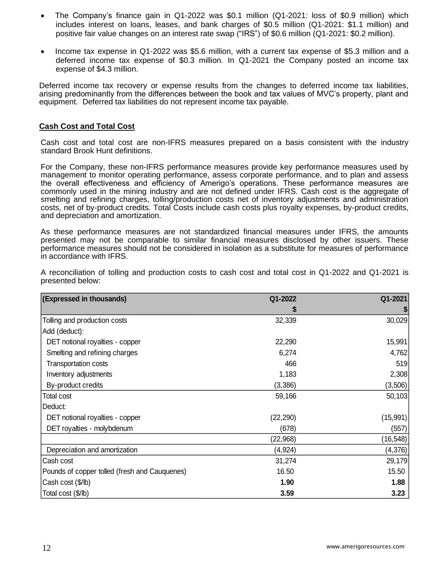- The Company's finance gain in Q1-2022 was \$0.1 million (Q1-2021: loss of \$0.9 million) which includes interest on loans, leases, and bank charges of \$0.5 million (Q1-2021: \$1.1 million) and positive fair value changes on an interest rate swap ("IRS") of \$0.6 million (Q1-2021: \$0.2 million).
- Income tax expense in Q1-2022 was \$5.6 million, with a current tax expense of \$5.3 million and a deferred income tax expense of \$0.3 million. In Q1-2021 the Company posted an income tax expense of \$4.3 million.

Deferred income tax recovery or expense results from the changes to deferred income tax liabilities, arising predominantly from the differences between the book and tax values of MVC's property, plant and equipment. Deferred tax liabilities do not represent income tax payable.

#### **Cash Cost and Total Cost**

Cash cost and total cost are non-IFRS measures prepared on a basis consistent with the industry standard Brook Hunt definitions.

For the Company, these non-IFRS performance measures provide key performance measures used by management to monitor operating performance, assess corporate performance, and to plan and assess the overall effectiveness and efficiency of Amerigo's operations. These performance measures are commonly used in the mining industry and are not defined under IFRS. Cash cost is the aggregate of smelting and refining charges, tolling/production costs net of inventory adjustments and administration costs, net of by-product credits. Total Costs include cash costs plus royalty expenses, by-product credits, and depreciation and amortization.

As these performance measures are not standardized financial measures under IFRS, the amounts presented may not be comparable to similar financial measures disclosed by other issuers. These performance measures should not be considered in isolation as a substitute for measures of performance in accordance with IFRS.

| (Expressed in thousands)                      | Q1-2022   | Q1-2021   |
|-----------------------------------------------|-----------|-----------|
|                                               | S         | \$        |
| Tolling and production costs                  | 32,339    | 30,029    |
| Add (deduct):                                 |           |           |
| DET notional royalties - copper               | 22,290    | 15,991    |
| Smelting and refining charges                 | 6,274     | 4,762     |
| <b>Transportation costs</b>                   | 466       | 519       |
| Inventory adjustments                         | 1,183     | 2,308     |
| By-product credits                            | (3,386)   | (3,506)   |
| Total cost                                    | 59,166    | 50,103    |
| Deduct:                                       |           |           |
| DET notional royalties - copper               | (22, 290) | (15, 991) |
| DET royalties - molybdenum                    | (678)     | (557)     |
|                                               | (22, 968) | (16, 548) |
| Depreciation and amortization                 | (4,924)   | (4, 376)  |
| Cash cost                                     | 31,274    | 29,179    |
| Pounds of copper tolled (fresh and Cauquenes) | 16.50     | 15.50     |
| Cash cost (\$/lb)                             | 1.90      | 1.88      |
| Total cost (\$/lb)                            | 3.59      | 3.23      |

A reconciliation of tolling and production costs to cash cost and total cost in Q1-2022 and Q1-2021 is presented below: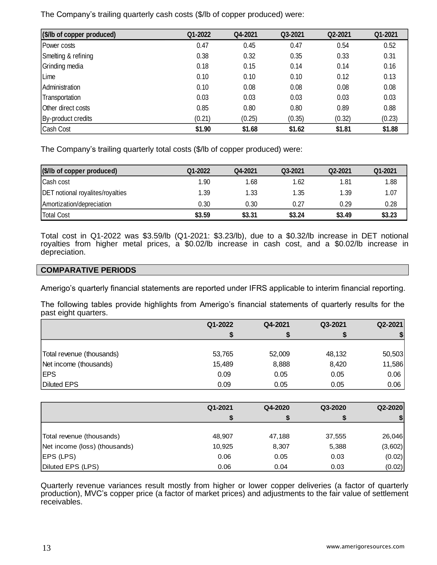The Company's trailing quarterly cash costs (\$/lb of copper produced) were:

| (\$/lb of copper produced) | Q1-2022 | Q4-2021 | Q3-2021 | Q2-2021 | Q1-2021 |
|----------------------------|---------|---------|---------|---------|---------|
| Power costs                | 0.47    | 0.45    | 0.47    | 0.54    | 0.52    |
| Smelting & refining        | 0.38    | 0.32    | 0.35    | 0.33    | 0.31    |
| Grinding media             | 0.18    | 0.15    | 0.14    | 0.14    | 0.16    |
| Lime                       | 0.10    | 0.10    | 0.10    | 0.12    | 0.13    |
| Administration             | 0.10    | 0.08    | 0.08    | 0.08    | 0.08    |
| Transportation             | 0.03    | 0.03    | 0.03    | 0.03    | 0.03    |
| Other direct costs         | 0.85    | 0.80    | 0.80    | 0.89    | 0.88    |
| By-product credits         | (0.21)  | (0.25)  | (0.35)  | (0.32)  | (0.23)  |
| Cash Cost                  | \$1.90  | \$1.68  | \$1.62  | \$1.81  | \$1.88  |

The Company's trailing quarterly total costs (\$/lb of copper produced) were:

| (\$/lb of copper produced)       | Q1-2022 | Q4-2021 | Q3-2021 | Q2-2021 | Q1-2021 |
|----------------------------------|---------|---------|---------|---------|---------|
| Cash cost                        | 1.90    | 1.68    | 1.62    | 1.81    | 1.88    |
| DET notional royalites/royalties | l.39    | 1.33    | 1.35    | 1.39    | 1.07    |
| Amortization/depreciation        | 0.30    | 0.30    | 0.27    | 0.29    | 0.28    |
| Total Cost                       | \$3.59  | \$3.31  | \$3.24  | \$3.49  | \$3.23  |

Total cost in Q1-2022 was \$3.59/lb (Q1-2021: \$3.23/lb), due to a \$0.32/lb increase in DET notional royalties from higher metal prices, a \$0.02/lb increase in cash cost, and a \$0.02/lb increase in depreciation.

# **COMPARATIVE PERIODS**

Amerigo's quarterly financial statements are reported under IFRS applicable to interim financial reporting.

The following tables provide highlights from Amerigo's financial statements of quarterly results for the past eight quarters.

|                           | Q1-2022 | Q4-2021 | Q3-2021 | Q2-2021 |
|---------------------------|---------|---------|---------|---------|
|                           |         |         |         |         |
|                           |         |         |         |         |
| Total revenue (thousands) | 53,765  | 52,009  | 48,132  | 50,503  |
| Net income (thousands)    | 15,489  | 8,888   | 8,420   | 11,586  |
| <b>IEPS</b>               | 0.09    | 0.05    | 0.05    | 0.06    |
| Diluted EPS               | 0.09    | 0.05    | 0.05    | 0.06    |

|                               | Q1-2021 | Q4-2020 | Q3-2020 | Q2-2020 |
|-------------------------------|---------|---------|---------|---------|
|                               |         | Œ       | D       |         |
|                               |         |         |         |         |
| Total revenue (thousands)     | 48,907  | 47,188  | 37,555  | 26,046  |
| Net income (loss) (thousands) | 10,925  | 8,307   | 5,388   | (3,602) |
| <b>EPS (LPS)</b>              | 0.06    | 0.05    | 0.03    | (0.02)  |
| Diluted EPS (LPS)             | 0.06    | 0.04    | 0.03    | (0.02)  |

Quarterly revenue variances result mostly from higher or lower copper deliveries (a factor of quarterly production), MVC's copper price (a factor of market prices) and adjustments to the fair value of settlement receivables.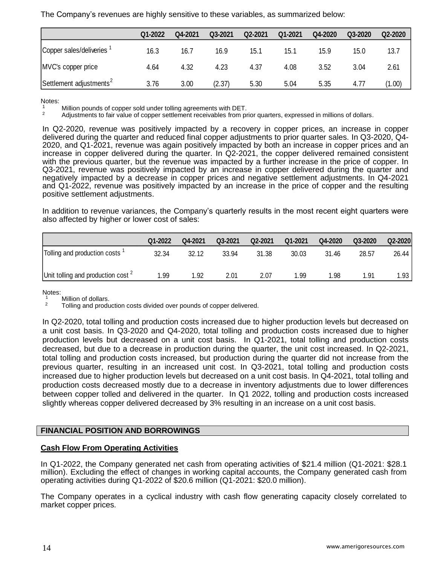The Company's revenues are highly sensitive to these variables, as summarized below:

|                                     | Q1-2022 | Q4-2021 | Q3-2021 | Q2-2021 | Q1-2021 | Q4-2020 | Q3-2020 | Q2-2020 |
|-------------------------------------|---------|---------|---------|---------|---------|---------|---------|---------|
| Copper sales/deliveries             | 16.3    | 16.7    | 16.9    | 15.1    | 15.1    | 15.9    | 15.0    | 13.7    |
| MVC's copper price                  | 4.64    | 4.32    | 4.23    | 4.37    | 4.08    | 3.52    | 3.04    | 2.61    |
| Settlement adjustments <sup>2</sup> | 3.76    | 3.00    | (2.37)  | 5.30    | 5.04    | 5.35    | 4.77    | (1.00)  |

Notes:

<sup>1</sup> Million pounds of copper sold under tolling agreements with DET.<br><sup>2</sup> Adjustments to fair value of connect actions at resolutions from pr

<sup>2</sup> Adjustments to fair value of copper settlement receivables from prior quarters, expressed in millions of dollars.

In Q2-2020, revenue was positively impacted by a recovery in copper prices, an increase in copper delivered during the quarter and reduced final copper adjustments to prior quarter sales. In Q3-2020, Q4- 2020, and Q1-2021, revenue was again positively impacted by both an increase in copper prices and an increase in copper delivered during the quarter. In Q2-2021, the copper delivered remained consistent with the previous quarter, but the revenue was impacted by a further increase in the price of copper. In Q3-2021, revenue was positively impacted by an increase in copper delivered during the quarter and negatively impacted by a decrease in copper prices and negative settlement adjustments. In Q4-2021 and Q1-2022, revenue was positively impacted by an increase in the price of copper and the resulting positive settlement adjustments.

In addition to revenue variances, the Company's quarterly results in the most recent eight quarters were also affected by higher or lower cost of sales:

|                                        | Q1-2022 | Q4-2021 | Q3-2021 | Q2-2021 | Q1-2021 | Q4-2020 | Q3-2020 | Q2-2020 |
|----------------------------------------|---------|---------|---------|---------|---------|---------|---------|---------|
| Tolling and production costs           | 32.34   | 32.12   | 33.94   | 31.38   | 30.03   | 31.46   | 28.57   | 26.44   |
| Unit tolling and production $\cos t^2$ | 1.99    | 1.92    | 2.01    | 2.07    | 1.99    | .98     | 1.91    | 1.93    |

Notes:

 $\frac{1}{2}$  Million of dollars.

<sup>2</sup> Tolling and production costs divided over pounds of copper delivered.

In Q2-2020, total tolling and production costs increased due to higher production levels but decreased on a unit cost basis. In Q3-2020 and Q4-2020, total tolling and production costs increased due to higher production levels but decreased on a unit cost basis. In Q1-2021, total tolling and production costs decreased, but due to a decrease in production during the quarter, the unit cost increased. In Q2-2021, total tolling and production costs increased, but production during the quarter did not increase from the previous quarter, resulting in an increased unit cost. In Q3-2021, total tolling and production costs increased due to higher production levels but decreased on a unit cost basis. In Q4-2021, total tolling and production costs decreased mostly due to a decrease in inventory adjustments due to lower differences between copper tolled and delivered in the quarter. In Q1 2022, tolling and production costs increased slightly whereas copper delivered decreased by 3% resulting in an increase on a unit cost basis.

# **FINANCIAL POSITION AND BORROWINGS**

# **Cash Flow From Operating Activities**

In Q1-2022, the Company generated net cash from operating activities of \$21.4 million (Q1-2021: \$28.1 million). Excluding the effect of changes in working capital accounts, the Company generated cash from operating activities during Q1-2022 of \$20.6 million (Q1-2021: \$20.0 million).

The Company operates in a cyclical industry with cash flow generating capacity closely correlated to market copper prices.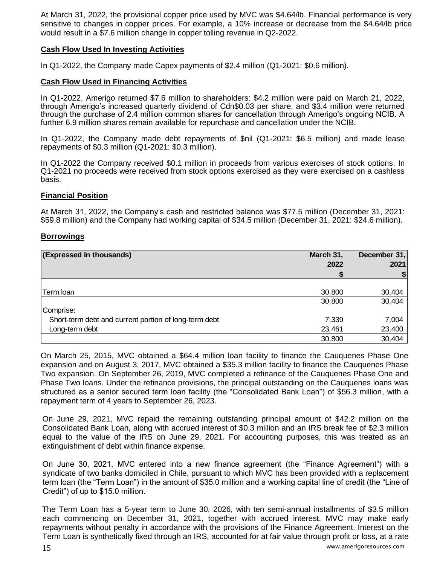At March 31, 2022, the provisional copper price used by MVC was \$4.64/lb. Financial performance is very sensitive to changes in copper prices. For example, a 10% increase or decrease from the \$4.64/lb price would result in a \$7.6 million change in copper tolling revenue in Q2-2022.

### **Cash Flow Used In Investing Activities**

In Q1-2022, the Company made Capex payments of \$2.4 million (Q1-2021: \$0.6 million).

#### **Cash Flow Used in Financing Activities**

In Q1-2022, Amerigo returned \$7.6 million to shareholders: \$4.2 million were paid on March 21, 2022, through Amerigo's increased quarterly dividend of Cdn\$0.03 per share, and \$3.4 million were returned through the purchase of 2.4 million common shares for cancellation through Amerigo's ongoing NCIB. A further 6.9 million shares remain available for repurchase and cancellation under the NCIB.

In Q1-2022, the Company made debt repayments of \$nil (Q1-2021: \$6.5 million) and made lease repayments of \$0.3 million (Q1-2021: \$0.3 million).

In Q1-2022 the Company received \$0.1 million in proceeds from various exercises of stock options. In Q1-2021 no proceeds were received from stock options exercised as they were exercised on a cashless basis.

#### **Financial Position**

At March 31, 2022, the Company's cash and restricted balance was \$77.5 million (December 31, 2021: \$59.8 million) and the Company had working capital of \$34.5 million (December 31, 2021: \$24.6 million).

#### **Borrowings**

| (Expressed in thousands)                              | March 31, | December 31, |
|-------------------------------------------------------|-----------|--------------|
|                                                       | 2022      | 2021         |
|                                                       |           |              |
|                                                       |           |              |
| Term loan                                             | 30,800    | 30,404       |
|                                                       | 30,800    | 30,404       |
| Comprise:                                             |           |              |
| Short-term debt and current portion of long-term debt | 7,339     | 7,004        |
| Long-term debt                                        | 23,461    | 23,400       |
|                                                       | 30,800    | 30,404       |

On March 25, 2015, MVC obtained a \$64.4 million loan facility to finance the Cauquenes Phase One expansion and on August 3, 2017, MVC obtained a \$35.3 million facility to finance the Cauquenes Phase Two expansion. On September 26, 2019, MVC completed a refinance of the Cauquenes Phase One and Phase Two loans. Under the refinance provisions, the principal outstanding on the Cauquenes loans was structured as a senior secured term loan facility (the "Consolidated Bank Loan") of \$56.3 million, with a repayment term of 4 years to September 26, 2023.

On June 29, 2021, MVC repaid the remaining outstanding principal amount of \$42.2 million on the Consolidated Bank Loan, along with accrued interest of \$0.3 million and an IRS break fee of \$2.3 million equal to the value of the IRS on June 29, 2021. For accounting purposes, this was treated as an extinguishment of debt within finance expense.

On June 30, 2021, MVC entered into a new finance agreement (the "Finance Agreement") with a syndicate of two banks domiciled in Chile, pursuant to which MVC has been provided with a replacement term loan (the "Term Loan") in the amount of \$35.0 million and a working capital line of credit (the "Line of Credit") of up to \$15.0 million.

The Term Loan has a 5-year term to June 30, 2026, with ten semi-annual installments of \$3.5 million each commencing on December 31, 2021, together with accrued interest. MVC may make early repayments without penalty in accordance with the provisions of the Finance Agreement. Interest on the Term Loan is synthetically fixed through an IRS, accounted for at fair value through profit or loss, at a rate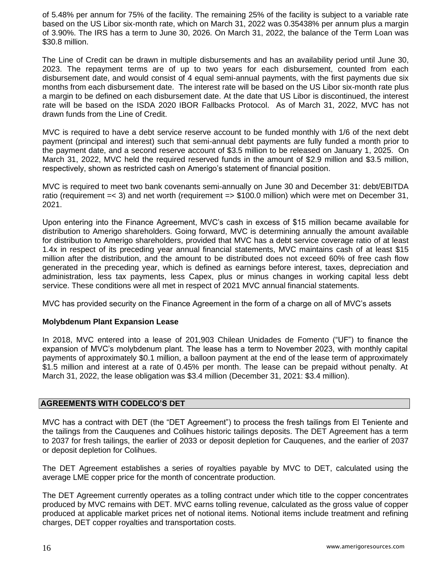of 5.48% per annum for 75% of the facility. The remaining 25% of the facility is subject to a variable rate based on the US Libor six-month rate, which on March 31, 2022 was 0.35438% per annum plus a margin of 3.90%. The IRS has a term to June 30, 2026. On March 31, 2022, the balance of the Term Loan was \$30.8 million.

The Line of Credit can be drawn in multiple disbursements and has an availability period until June 30, 2023. The repayment terms are of up to two years for each disbursement, counted from each disbursement date, and would consist of 4 equal semi-annual payments, with the first payments due six months from each disbursement date. The interest rate will be based on the US Libor six-month rate plus a margin to be defined on each disbursement date. At the date that US Libor is discontinued, the interest rate will be based on the ISDA 2020 IBOR Fallbacks Protocol. As of March 31, 2022, MVC has not drawn funds from the Line of Credit.

MVC is required to have a debt service reserve account to be funded monthly with 1/6 of the next debt payment (principal and interest) such that semi-annual debt payments are fully funded a month prior to the payment date, and a second reserve account of \$3.5 million to be released on January 1, 2025. On March 31, 2022, MVC held the required reserved funds in the amount of \$2.9 million and \$3.5 million, respectively, shown as restricted cash on Amerigo's statement of financial position.

MVC is required to meet two bank covenants semi-annually on June 30 and December 31: debt/EBITDA ratio (requirement =< 3) and net worth (requirement => \$100.0 million) which were met on December 31, 2021.

Upon entering into the Finance Agreement, MVC's cash in excess of \$15 million became available for distribution to Amerigo shareholders. Going forward, MVC is determining annually the amount available for distribution to Amerigo shareholders, provided that MVC has a debt service coverage ratio of at least 1.4x in respect of its preceding year annual financial statements, MVC maintains cash of at least \$15 million after the distribution, and the amount to be distributed does not exceed 60% of free cash flow generated in the preceding year, which is defined as earnings before interest, taxes, depreciation and administration, less tax payments, less Capex, plus or minus changes in working capital less debt service. These conditions were all met in respect of 2021 MVC annual financial statements.

MVC has provided security on the Finance Agreement in the form of a charge on all of MVC's assets

# **Molybdenum Plant Expansion Lease**

In 2018, MVC entered into a lease of 201,903 Chilean Unidades de Fomento ("UF") to finance the expansion of MVC's molybdenum plant. The lease has a term to November 2023, with monthly capital payments of approximately \$0.1 million, a balloon payment at the end of the lease term of approximately \$1.5 million and interest at a rate of 0.45% per month. The lease can be prepaid without penalty. At March 31, 2022, the lease obligation was \$3.4 million (December 31, 2021: \$3.4 million).

# **AGREEMENTS WITH CODELCO'S DET**

MVC has a contract with DET (the "DET Agreement") to process the fresh tailings from El Teniente and the tailings from the Cauquenes and Colihues historic tailings deposits. The DET Agreement has a term to 2037 for fresh tailings, the earlier of 2033 or deposit depletion for Cauquenes, and the earlier of 2037 or deposit depletion for Colihues.

The DET Agreement establishes a series of royalties payable by MVC to DET, calculated using the average LME copper price for the month of concentrate production.

The DET Agreement currently operates as a tolling contract under which title to the copper concentrates produced by MVC remains with DET. MVC earns tolling revenue, calculated as the gross value of copper produced at applicable market prices net of notional items. Notional items include treatment and refining charges, DET copper royalties and transportation costs.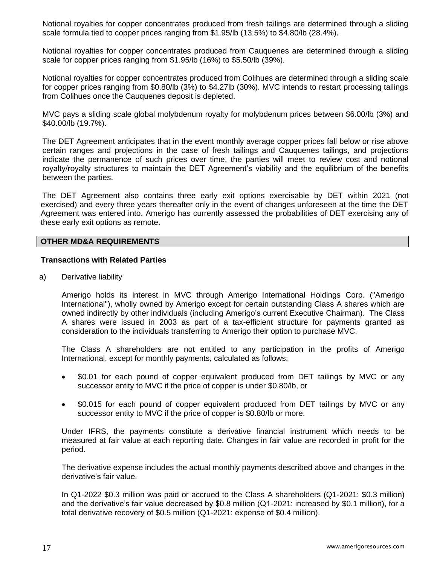Notional royalties for copper concentrates produced from fresh tailings are determined through a sliding scale formula tied to copper prices ranging from \$1.95/lb (13.5%) to \$4.80/lb (28.4%).

Notional royalties for copper concentrates produced from Cauquenes are determined through a sliding scale for copper prices ranging from \$1.95/lb (16%) to \$5.50/lb (39%).

Notional royalties for copper concentrates produced from Colihues are determined through a sliding scale for copper prices ranging from \$0.80/lb (3%) to \$4.27lb (30%). MVC intends to restart processing tailings from Colihues once the Cauquenes deposit is depleted.

MVC pays a sliding scale global molybdenum royalty for molybdenum prices between \$6.00/lb (3%) and \$40.00/lb (19.7%).

The DET Agreement anticipates that in the event monthly average copper prices fall below or rise above certain ranges and projections in the case of fresh tailings and Cauquenes tailings, and projections indicate the permanence of such prices over time, the parties will meet to review cost and notional royalty/royalty structures to maintain the DET Agreement's viability and the equilibrium of the benefits between the parties.

The DET Agreement also contains three early exit options exercisable by DET within 2021 (not exercised) and every three years thereafter only in the event of changes unforeseen at the time the DET Agreement was entered into. Amerigo has currently assessed the probabilities of DET exercising any of these early exit options as remote.

#### **OTHER MD&A REQUIREMENTS**

#### **Transactions with Related Parties**

a) Derivative liability

Amerigo holds its interest in MVC through Amerigo International Holdings Corp. ("Amerigo International"), wholly owned by Amerigo except for certain outstanding Class A shares which are owned indirectly by other individuals (including Amerigo's current Executive Chairman). The Class A shares were issued in 2003 as part of a tax-efficient structure for payments granted as consideration to the individuals transferring to Amerigo their option to purchase MVC.

The Class A shareholders are not entitled to any participation in the profits of Amerigo International, except for monthly payments, calculated as follows:

- \$0.01 for each pound of copper equivalent produced from DET tailings by MVC or any successor entity to MVC if the price of copper is under \$0.80/lb, or
- \$0.015 for each pound of copper equivalent produced from DET tailings by MVC or any successor entity to MVC if the price of copper is \$0.80/lb or more.

Under IFRS, the payments constitute a derivative financial instrument which needs to be measured at fair value at each reporting date. Changes in fair value are recorded in profit for the period.

The derivative expense includes the actual monthly payments described above and changes in the derivative's fair value.

In Q1-2022 \$0.3 million was paid or accrued to the Class A shareholders (Q1-2021: \$0.3 million) and the derivative's fair value decreased by \$0.8 million (Q1-2021: increased by \$0.1 million), for a total derivative recovery of \$0.5 million (Q1-2021: expense of \$0.4 million).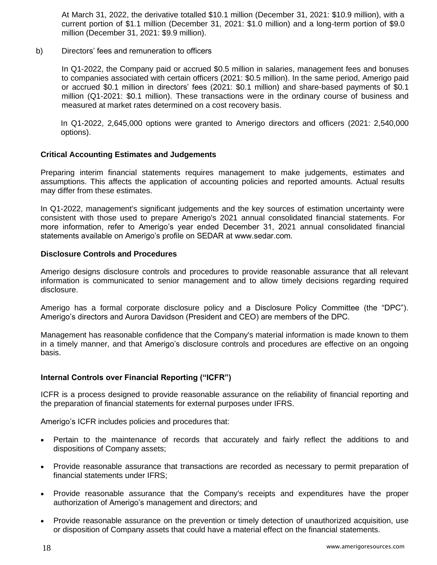At March 31, 2022, the derivative totalled \$10.1 million (December 31, 2021: \$10.9 million), with a current portion of \$1.1 million (December 31, 2021: \$1.0 million) and a long-term portion of \$9.0 million (December 31, 2021: \$9.9 million).

b) Directors' fees and remuneration to officers

In Q1-2022, the Company paid or accrued \$0.5 million in salaries, management fees and bonuses to companies associated with certain officers (2021: \$0.5 million). In the same period, Amerigo paid or accrued \$0.1 million in directors' fees (2021: \$0.1 million) and share-based payments of \$0.1 million (Q1-2021: \$0.1 million). These transactions were in the ordinary course of business and measured at market rates determined on a cost recovery basis.

In Q1-2022, 2,645,000 options were granted to Amerigo directors and officers (2021: 2,540,000 options).

### **Critical Accounting Estimates and Judgements**

Preparing interim financial statements requires management to make judgements, estimates and assumptions. This affects the application of accounting policies and reported amounts. Actual results may differ from these estimates.

In Q1-2022, management's significant judgements and the key sources of estimation uncertainty were consistent with those used to prepare Amerigo's 2021 annual consolidated financial statements. For more information, refer to Amerigo's year ended December 31, 2021 annual consolidated financial statements available on Amerigo's profile on SEDAR at www.sedar.com.

#### **Disclosure Controls and Procedures**

Amerigo designs disclosure controls and procedures to provide reasonable assurance that all relevant information is communicated to senior management and to allow timely decisions regarding required disclosure.

Amerigo has a formal corporate disclosure policy and a Disclosure Policy Committee (the "DPC"). Amerigo's directors and Aurora Davidson (President and CEO) are members of the DPC.

Management has reasonable confidence that the Company's material information is made known to them in a timely manner, and that Amerigo's disclosure controls and procedures are effective on an ongoing basis.

# **Internal Controls over Financial Reporting ("ICFR")**

ICFR is a process designed to provide reasonable assurance on the reliability of financial reporting and the preparation of financial statements for external purposes under IFRS.

Amerigo's ICFR includes policies and procedures that:

- Pertain to the maintenance of records that accurately and fairly reflect the additions to and dispositions of Company assets;
- Provide reasonable assurance that transactions are recorded as necessary to permit preparation of financial statements under IFRS;
- Provide reasonable assurance that the Company's receipts and expenditures have the proper authorization of Amerigo's management and directors; and
- Provide reasonable assurance on the prevention or timely detection of unauthorized acquisition, use or disposition of Company assets that could have a material effect on the financial statements.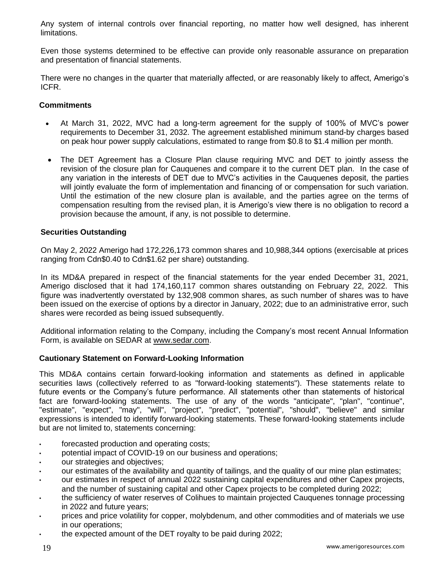Any system of internal controls over financial reporting, no matter how well designed, has inherent limitations.

Even those systems determined to be effective can provide only reasonable assurance on preparation and presentation of financial statements.

There were no changes in the quarter that materially affected, or are reasonably likely to affect, Amerigo's ICFR.

### **Commitments**

- At March 31, 2022, MVC had a long-term agreement for the supply of 100% of MVC's power requirements to December 31, 2032. The agreement established minimum stand-by charges based on peak hour power supply calculations, estimated to range from \$0.8 to \$1.4 million per month.
- The DET Agreement has a Closure Plan clause requiring MVC and DET to jointly assess the revision of the closure plan for Cauquenes and compare it to the current DET plan. In the case of any variation in the interests of DET due to MVC's activities in the Cauquenes deposit, the parties will jointly evaluate the form of implementation and financing of or compensation for such variation. Until the estimation of the new closure plan is available, and the parties agree on the terms of compensation resulting from the revised plan, it is Amerigo's view there is no obligation to record a provision because the amount, if any, is not possible to determine.

### **Securities Outstanding**

On May 2, 2022 Amerigo had 172,226,173 common shares and 10,988,344 options (exercisable at prices ranging from Cdn\$0.40 to Cdn\$1.62 per share) outstanding.

In its MD&A prepared in respect of the financial statements for the year ended December 31, 2021, Amerigo disclosed that it had 174,160,117 common shares outstanding on February 22, 2022. This figure was inadvertently overstated by 132,908 common shares, as such number of shares was to have been issued on the exercise of options by a director in January, 2022; due to an administrative error, such shares were recorded as being issued subsequently.

Additional information relating to the Company, including the Company's most recent Annual Information Form, is available on SEDAR at [www.sedar.com.](http://www.sedar.com/)

#### **Cautionary Statement on Forward-Looking Information**

This MD&A contains certain forward-looking information and statements as defined in applicable securities laws (collectively referred to as "forward-looking statements"). These statements relate to future events or the Company's future performance. All statements other than statements of historical fact are forward-looking statements. The use of any of the words "anticipate", "plan", "continue", "estimate", "expect", "may", "will", "project", "predict", "potential", "should", "believe" and similar expressions is intended to identify forward-looking statements. These forward-looking statements include but are not limited to, statements concerning:

- forecasted production and operating costs;
- potential impact of COVID-19 on our business and operations;
- our strategies and objectives;
- our estimates of the availability and quantity of tailings, and the quality of our mine plan estimates;
- our estimates in respect of annual 2022 sustaining capital expenditures and other Capex projects, and the number of sustaining capital and other Capex projects to be completed during 2022;
- the sufficiency of water reserves of Colihues to maintain projected Cauquenes tonnage processing in 2022 and future years;
- prices and price volatility for copper, molybdenum, and other commodities and of materials we use in our operations;
- the expected amount of the DET royalty to be paid during 2022;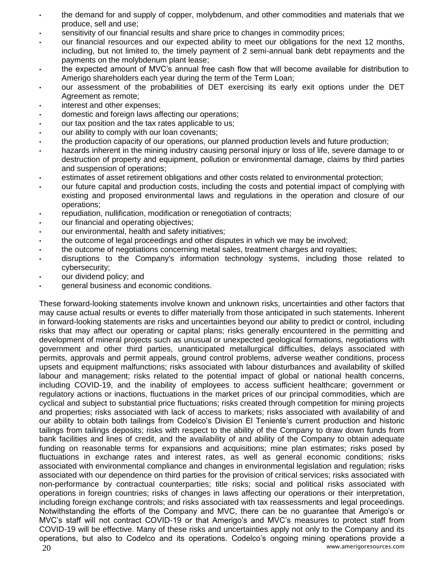- the demand for and supply of copper, molybdenum, and other commodities and materials that we produce, sell and use;
- sensitivity of our financial results and share price to changes in commodity prices;
- our financial resources and our expected ability to meet our obligations for the next 12 months, including, but not limited to, the timely payment of 2 semi-annual bank debt repayments and the payments on the molybdenum plant lease;
- the expected amount of MVC's annual free cash flow that will become available for distribution to Amerigo shareholders each year during the term of the Term Loan;
- our assessment of the probabilities of DET exercising its early exit options under the DET Agreement as remote;
- interest and other expenses;
- domestic and foreign laws affecting our operations;
- our tax position and the tax rates applicable to us;
- our ability to comply with our loan covenants;
- the production capacity of our operations, our planned production levels and future production;
- hazards inherent in the mining industry causing personal injury or loss of life, severe damage to or destruction of property and equipment, pollution or environmental damage, claims by third parties and suspension of operations;
- estimates of asset retirement obligations and other costs related to environmental protection;
- our future capital and production costs, including the costs and potential impact of complying with existing and proposed environmental laws and regulations in the operation and closure of our operations;
- repudiation, nullification, modification or renegotiation of contracts;
- our financial and operating objectives;
- our environmental, health and safety initiatives;
- the outcome of legal proceedings and other disputes in which we may be involved;
- the outcome of negotiations concerning metal sales, treatment charges and royalties;
- disruptions to the Company's information technology systems, including those related to cybersecurity;
- our dividend policy; and
- general business and economic conditions.

20 www.amerigoresources.com These forward-looking statements involve known and unknown risks, uncertainties and other factors that may cause actual results or events to differ materially from those anticipated in such statements. Inherent in forward-looking statements are risks and uncertainties beyond our ability to predict or control, including risks that may affect our operating or capital plans; risks generally encountered in the permitting and development of mineral projects such as unusual or unexpected geological formations, negotiations with government and other third parties, unanticipated metallurgical difficulties, delays associated with permits, approvals and permit appeals, ground control problems, adverse weather conditions, process upsets and equipment malfunctions; risks associated with labour disturbances and availability of skilled labour and management; risks related to the potential impact of global or national health concerns, including COVID-19, and the inability of employees to access sufficient healthcare; government or regulatory actions or inactions, fluctuations in the market prices of our principal commodities, which are cyclical and subject to substantial price fluctuations; risks created through competition for mining projects and properties; risks associated with lack of access to markets; risks associated with availability of and our ability to obtain both tailings from Codelco's Division El Teniente's current production and historic tailings from tailings deposits; risks with respect to the ability of the Company to draw down funds from bank facilities and lines of credit, and the availability of and ability of the Company to obtain adequate funding on reasonable terms for expansions and acquisitions; mine plan estimates; risks posed by fluctuations in exchange rates and interest rates, as well as general economic conditions; risks associated with environmental compliance and changes in environmental legislation and regulation; risks associated with our dependence on third parties for the provision of critical services; risks associated with non-performance by contractual counterparties; title risks; social and political risks associated with operations in foreign countries; risks of changes in laws affecting our operations or their interpretation, including foreign exchange controls; and risks associated with tax reassessments and legal proceedings. Notwithstanding the efforts of the Company and MVC, there can be no guarantee that Amerigo's or MVC's staff will not contract COVID-19 or that Amerigo's and MVC's measures to protect staff from COVID-19 will be effective. Many of these risks and uncertainties apply not only to the Company and its operations, but also to Codelco and its operations. Codelco's ongoing mining operations provide a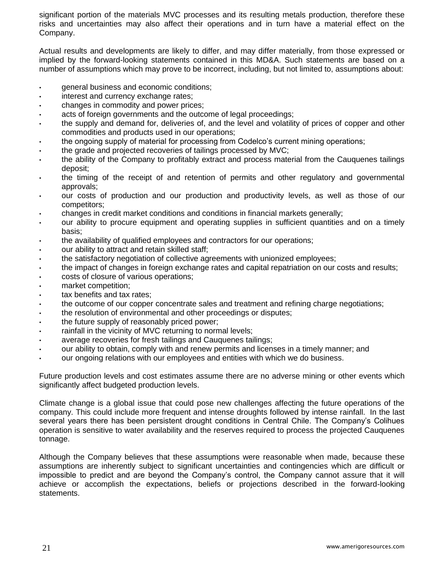significant portion of the materials MVC processes and its resulting metals production, therefore these risks and uncertainties may also affect their operations and in turn have a material effect on the Company.

Actual results and developments are likely to differ, and may differ materially, from those expressed or implied by the forward-looking statements contained in this MD&A. Such statements are based on a number of assumptions which may prove to be incorrect, including, but not limited to, assumptions about:

- general business and economic conditions;
- interest and currency exchange rates;
- changes in commodity and power prices;
- acts of foreign governments and the outcome of legal proceedings;
- the supply and demand for, deliveries of, and the level and volatility of prices of copper and other commodities and products used in our operations;
- the ongoing supply of material for processing from Codelco's current mining operations;
- the grade and projected recoveries of tailings processed by MVC:
- the ability of the Company to profitably extract and process material from the Cauquenes tailings deposit;
- the timing of the receipt of and retention of permits and other regulatory and governmental approvals;
- our costs of production and our production and productivity levels, as well as those of our competitors;
- changes in credit market conditions and conditions in financial markets generally;
- our ability to procure equipment and operating supplies in sufficient quantities and on a timely basis;
- the availability of qualified employees and contractors for our operations;
- our ability to attract and retain skilled staff;
- the satisfactory negotiation of collective agreements with unionized employees;
- the impact of changes in foreign exchange rates and capital repatriation on our costs and results;
- costs of closure of various operations;
- market competition;
- tax benefits and tax rates;
- the outcome of our copper concentrate sales and treatment and refining charge negotiations;
- the resolution of environmental and other proceedings or disputes;
- the future supply of reasonably priced power;
- rainfall in the vicinity of MVC returning to normal levels;
- average recoveries for fresh tailings and Cauquenes tailings;
- our ability to obtain, comply with and renew permits and licenses in a timely manner; and
- our ongoing relations with our employees and entities with which we do business.

Future production levels and cost estimates assume there are no adverse mining or other events which significantly affect budgeted production levels.

Climate change is a global issue that could pose new challenges affecting the future operations of the company. This could include more frequent and intense droughts followed by intense rainfall. In the last several years there has been persistent drought conditions in Central Chile. The Company's Colihues operation is sensitive to water availability and the reserves required to process the projected Cauquenes tonnage.

Although the Company believes that these assumptions were reasonable when made, because these assumptions are inherently subject to significant uncertainties and contingencies which are difficult or impossible to predict and are beyond the Company's control, the Company cannot assure that it will achieve or accomplish the expectations, beliefs or projections described in the forward-looking statements.